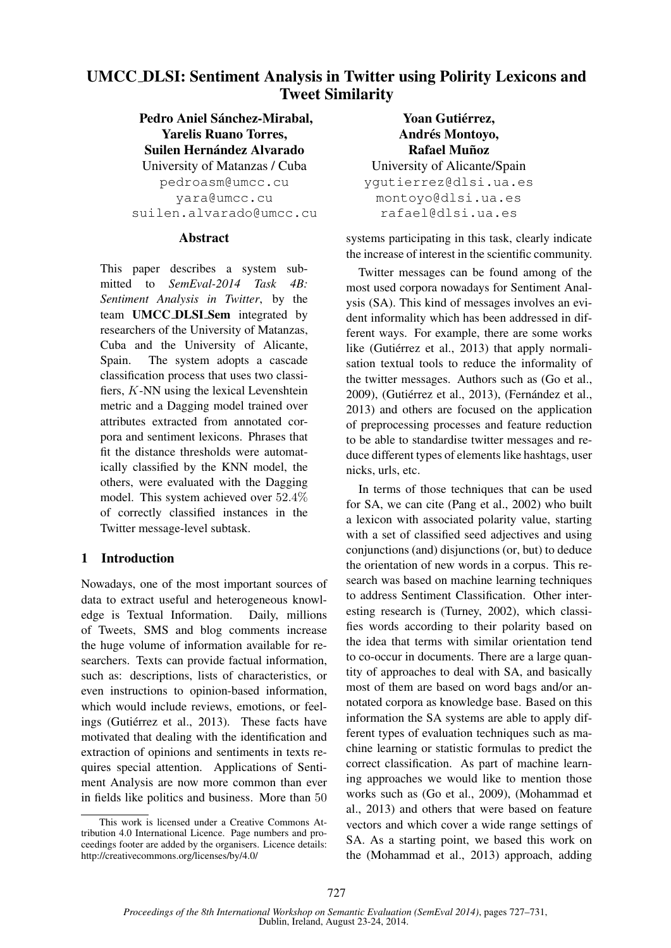# UMCC DLSI: Sentiment Analysis in Twitter using Polirity Lexicons and Tweet Similarity

Pedro Aniel Sánchez-Mirabal. Yarelis Ruano Torres, Suilen Hernández Alvarado University of Matanzas / Cuba pedroasm@umcc.cu yara@umcc.cu suilen.alvarado@umcc.cu

#### **Abstract**

This paper describes a system submitted to *SemEval-2014 Task 4B: Sentiment Analysis in Twitter*, by the team UMCC DLSI Sem integrated by researchers of the University of Matanzas, Cuba and the University of Alicante, Spain. The system adopts a cascade classification process that uses two classifiers, K-NN using the lexical Levenshtein metric and a Dagging model trained over attributes extracted from annotated corpora and sentiment lexicons. Phrases that fit the distance thresholds were automatically classified by the KNN model, the others, were evaluated with the Dagging model. This system achieved over 52.4% of correctly classified instances in the Twitter message-level subtask.

## 1 Introduction

Nowadays, one of the most important sources of data to extract useful and heterogeneous knowledge is Textual Information. Daily, millions of Tweets, SMS and blog comments increase the huge volume of information available for researchers. Texts can provide factual information, such as: descriptions, lists of characteristics, or even instructions to opinion-based information, which would include reviews, emotions, or feelings (Gutiérrez et al., 2013). These facts have motivated that dealing with the identification and extraction of opinions and sentiments in texts requires special attention. Applications of Sentiment Analysis are now more common than ever in fields like politics and business. More than 50

Yoan Gutiérrez, Andrés Montoyo, **Rafael Muñoz** University of Alicante/Spain ygutierrez@dlsi.ua.es montoyo@dlsi.ua.es rafael@dlsi.ua.es

systems participating in this task, clearly indicate the increase of interest in the scientific community.

Twitter messages can be found among of the most used corpora nowadays for Sentiment Analysis (SA). This kind of messages involves an evident informality which has been addressed in different ways. For example, there are some works like (Gutiérrez et al., 2013) that apply normalisation textual tools to reduce the informality of the twitter messages. Authors such as (Go et al., 2009), (Gutiérrez et al., 2013), (Fernández et al., 2013) and others are focused on the application of preprocessing processes and feature reduction to be able to standardise twitter messages and reduce different types of elements like hashtags, user nicks, urls, etc.

In terms of those techniques that can be used for SA, we can cite (Pang et al., 2002) who built a lexicon with associated polarity value, starting with a set of classified seed adjectives and using conjunctions (and) disjunctions (or, but) to deduce the orientation of new words in a corpus. This research was based on machine learning techniques to address Sentiment Classification. Other interesting research is (Turney, 2002), which classifies words according to their polarity based on the idea that terms with similar orientation tend to co-occur in documents. There are a large quantity of approaches to deal with SA, and basically most of them are based on word bags and/or annotated corpora as knowledge base. Based on this information the SA systems are able to apply different types of evaluation techniques such as machine learning or statistic formulas to predict the correct classification. As part of machine learning approaches we would like to mention those works such as (Go et al., 2009), (Mohammad et al., 2013) and others that were based on feature vectors and which cover a wide range settings of SA. As a starting point, we based this work on the (Mohammad et al., 2013) approach, adding

This work is licensed under a Creative Commons Attribution 4.0 International Licence. Page numbers and proceedings footer are added by the organisers. Licence details: http://creativecommons.org/licenses/by/4.0/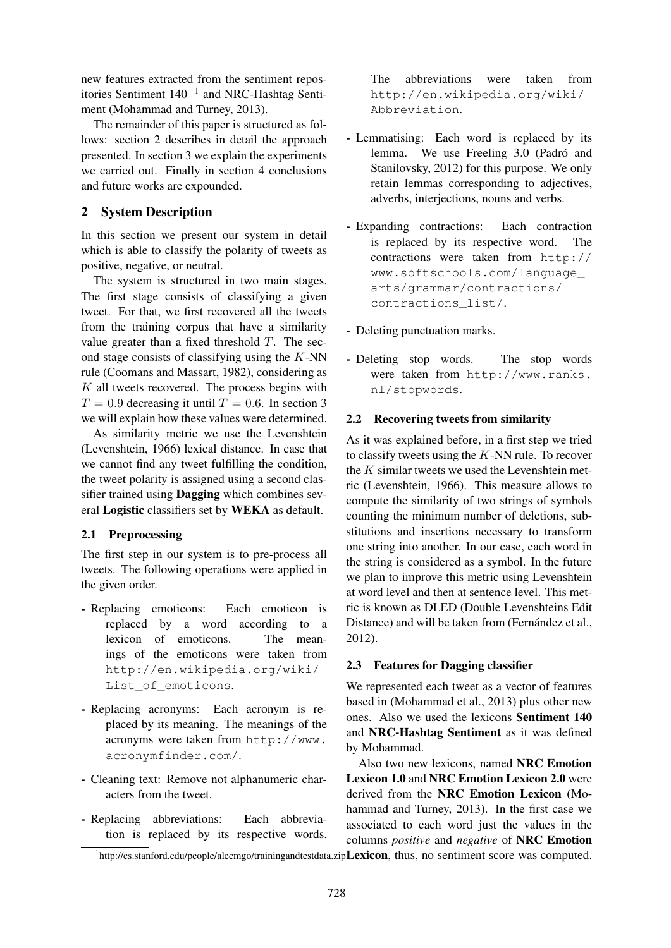new features extracted from the sentiment repositories Sentiment  $140^{-1}$  and NRC-Hashtag Sentiment (Mohammad and Turney, 2013).

The remainder of this paper is structured as follows: section 2 describes in detail the approach presented. In section 3 we explain the experiments we carried out. Finally in section 4 conclusions and future works are expounded.

#### 2 System Description

In this section we present our system in detail which is able to classify the polarity of tweets as positive, negative, or neutral.

The system is structured in two main stages. The first stage consists of classifying a given tweet. For that, we first recovered all the tweets from the training corpus that have a similarity value greater than a fixed threshold  $T$ . The second stage consists of classifying using the K-NN rule (Coomans and Massart, 1982), considering as  $K$  all tweets recovered. The process begins with  $T = 0.9$  decreasing it until  $T = 0.6$ . In section 3 we will explain how these values were determined.

As similarity metric we use the Levenshtein (Levenshtein, 1966) lexical distance. In case that we cannot find any tweet fulfilling the condition, the tweet polarity is assigned using a second classifier trained using Dagging which combines several Logistic classifiers set by WEKA as default.

#### 2.1 Preprocessing

The first step in our system is to pre-process all tweets. The following operations were applied in the given order.

- Replacing emoticons: Each emoticon is replaced by a word according to a lexicon of emoticons. The meanings of the emoticons were taken from http://en.wikipedia.org/wiki/ List of emoticons.
- Replacing acronyms: Each acronym is replaced by its meaning. The meanings of the acronyms were taken from http://www. acronymfinder.com/.
- Cleaning text: Remove not alphanumeric characters from the tweet.
- Replacing abbreviations: Each abbreviation is replaced by its respective words.

The abbreviations were taken from http://en.wikipedia.org/wiki/ Abbreviation.

- Lemmatising: Each word is replaced by its lemma. We use Freeling 3.0 (Padró and Stanilovsky, 2012) for this purpose. We only retain lemmas corresponding to adjectives, adverbs, interjections, nouns and verbs.
- Expanding contractions: Each contraction is replaced by its respective word. The contractions were taken from http:// www.softschools.com/language\_ arts/grammar/contractions/ contractions\_list/.

- Deleting punctuation marks.

- Deleting stop words. The stop words were taken from http://www.ranks. nl/stopwords.

#### 2.2 Recovering tweets from similarity

As it was explained before, in a first step we tried to classify tweets using the  $K-NN$  rule. To recover the  $K$  similar tweets we used the Levenshtein metric (Levenshtein, 1966). This measure allows to compute the similarity of two strings of symbols counting the minimum number of deletions, substitutions and insertions necessary to transform one string into another. In our case, each word in the string is considered as a symbol. In the future we plan to improve this metric using Levenshtein at word level and then at sentence level. This metric is known as DLED (Double Levenshteins Edit Distance) and will be taken from (Fernández et al., 2012).

#### 2.3 Features for Dagging classifier

We represented each tweet as a vector of features based in (Mohammad et al., 2013) plus other new ones. Also we used the lexicons Sentiment 140 and NRC-Hashtag Sentiment as it was defined by Mohammad.

Also two new lexicons, named NRC Emotion Lexicon 1.0 and NRC Emotion Lexicon 2.0 were derived from the NRC Emotion Lexicon (Mohammad and Turney, 2013). In the first case we associated to each word just the values in the columns *positive* and *negative* of NRC Emotion

<sup>&</sup>lt;sup>1</sup>http://cs.stanford.edu/people/alecmgo/trainingandtestdata.zip**Lexicon**, thus, no sentiment score was computed.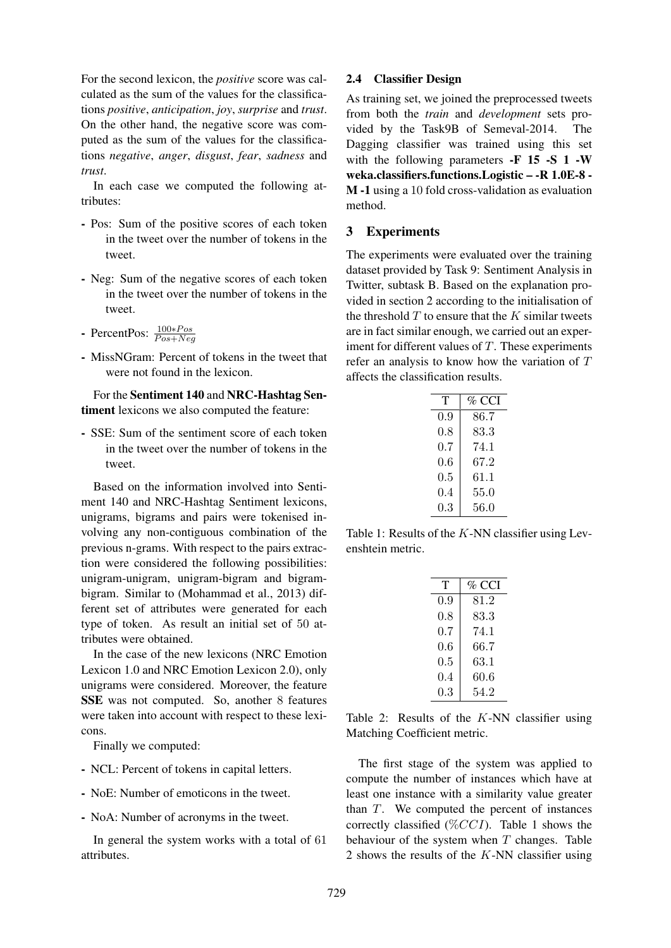For the second lexicon, the *positive* score was calculated as the sum of the values for the classifications *positive*, *anticipation*, *joy*, *surprise* and *trust*. On the other hand, the negative score was computed as the sum of the values for the classifications *negative*, *anger*, *disgust*, *fear*, *sadness* and *trust*.

In each case we computed the following attributes:

- Pos: Sum of the positive scores of each token in the tweet over the number of tokens in the tweet.
- Neg: Sum of the negative scores of each token in the tweet over the number of tokens in the tweet.
- PercentPos:  $\frac{100*Pos}{Pos+Neg}$
- MissNGram: Percent of tokens in the tweet that were not found in the lexicon.

For the Sentiment 140 and NRC-Hashtag Sentiment lexicons we also computed the feature:

- SSE: Sum of the sentiment score of each token in the tweet over the number of tokens in the tweet.

Based on the information involved into Sentiment 140 and NRC-Hashtag Sentiment lexicons, unigrams, bigrams and pairs were tokenised involving any non-contiguous combination of the previous n-grams. With respect to the pairs extraction were considered the following possibilities: unigram-unigram, unigram-bigram and bigrambigram. Similar to (Mohammad et al., 2013) different set of attributes were generated for each type of token. As result an initial set of 50 attributes were obtained.

In the case of the new lexicons (NRC Emotion Lexicon 1.0 and NRC Emotion Lexicon 2.0), only unigrams were considered. Moreover, the feature SSE was not computed. So, another 8 features were taken into account with respect to these lexicons.

Finally we computed:

- NCL: Percent of tokens in capital letters.
- NoE: Number of emoticons in the tweet.
- NoA: Number of acronyms in the tweet.

In general the system works with a total of 61 attributes.

#### 2.4 Classifier Design

As training set, we joined the preprocessed tweets from both the *train* and *development* sets provided by the Task9B of Semeval-2014. The Dagging classifier was trained using this set with the following parameters -F 15 -S 1 -W weka.classifiers.functions.Logistic – -R 1.0E-8 - M -1 using a 10 fold cross-validation as evaluation method.

#### 3 Experiments

The experiments were evaluated over the training dataset provided by Task 9: Sentiment Analysis in Twitter, subtask B. Based on the explanation provided in section 2 according to the initialisation of the threshold  $T$  to ensure that the  $K$  similar tweets are in fact similar enough, we carried out an experiment for different values of  $T$ . These experiments refer an analysis to know how the variation of T affects the classification results.

| т   | % CCI |
|-----|-------|
| 0.9 | 86.7  |
| 0.8 | 83.3  |
| 0.7 | 74.1  |
| 0.6 | 67.2  |
| 0.5 | 61.1  |
| 0.4 | 55.0  |
| 0.3 | 56.0  |

Table 1: Results of the  $K$ -NN classifier using Levenshtein metric.

| т   | % CCI |
|-----|-------|
| 0.9 | 81.2  |
| 0.8 | 83.3  |
| 0.7 | 74.1  |
| 0.6 | 66.7  |
| 0.5 | 63.1  |
| 0.4 | 60.6  |
| 0.3 | 54.2  |
|     |       |

Table 2: Results of the  $K-NN$  classifier using Matching Coefficient metric.

The first stage of the system was applied to compute the number of instances which have at least one instance with a similarity value greater than  $T$ . We computed the percent of instances correctly classified ( $\%CCI$ ). Table 1 shows the behaviour of the system when  $T$  changes. Table 2 shows the results of the  $K-NN$  classifier using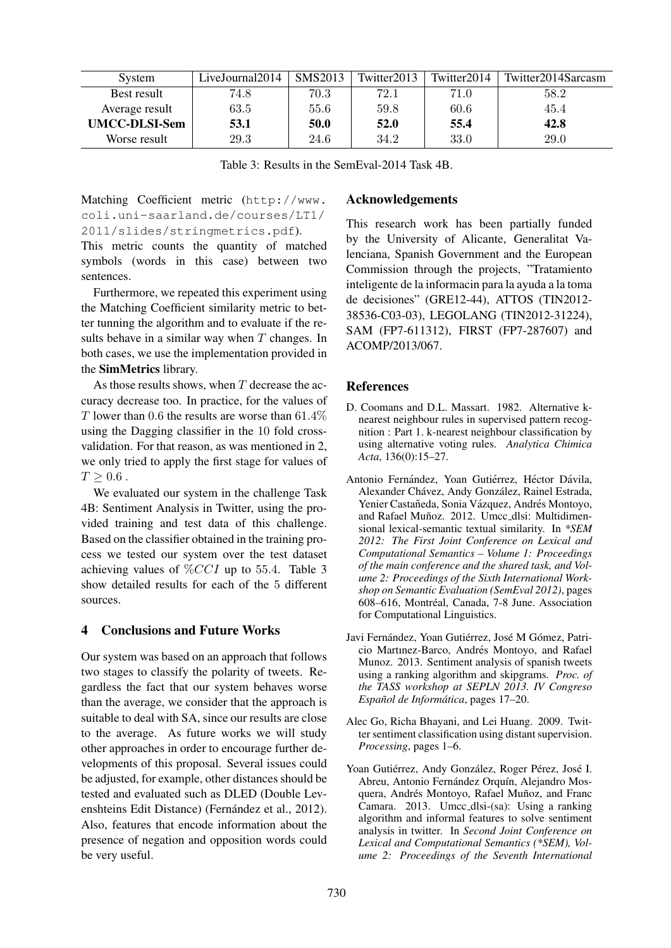| System               | LiveJournal2014 | SMS2013 | Twitter2013 | Twitter2014 | Twitter2014Sarcasm |
|----------------------|-----------------|---------|-------------|-------------|--------------------|
| Best result          | 74.8            | 70.3    | 72.1        | 71.0        | 58.2               |
| Average result       | 63.5            | 55.6    | 59.8        | 60.6        | 45.4               |
| <b>UMCC-DLSI-Sem</b> | 53.1            | 50.0    | 52.0        | 55.4        | 42.8               |
| Worse result         | 29.3            | 24.6    | 34.2        | 33.0        | 29.0               |

Table 3: Results in the SemEval-2014 Task 4B.

Matching Coefficient metric (http://www. coli.uni-saarland.de/courses/LT1/ 2011/slides/stringmetrics.pdf).

This metric counts the quantity of matched symbols (words in this case) between two sentences.

Furthermore, we repeated this experiment using the Matching Coefficient similarity metric to better tunning the algorithm and to evaluate if the results behave in a similar way when  $T$  changes. In both cases, we use the implementation provided in the SimMetrics library.

As those results shows, when  $T$  decrease the accuracy decrease too. In practice, for the values of T lower than 0.6 the results are worse than  $61.4\%$ using the Dagging classifier in the 10 fold crossvalidation. For that reason, as was mentioned in 2, we only tried to apply the first stage for values of  $T \geq 0.6$  .

We evaluated our system in the challenge Task 4B: Sentiment Analysis in Twitter, using the provided training and test data of this challenge. Based on the classifier obtained in the training process we tested our system over the test dataset achieving values of  $\%CCI$  up to 55.4. Table 3 show detailed results for each of the 5 different sources.

### 4 Conclusions and Future Works

Our system was based on an approach that follows two stages to classify the polarity of tweets. Regardless the fact that our system behaves worse than the average, we consider that the approach is suitable to deal with SA, since our results are close to the average. As future works we will study other approaches in order to encourage further developments of this proposal. Several issues could be adjusted, for example, other distances should be tested and evaluated such as DLED (Double Levenshteins Edit Distance) (Fernández et al., 2012). Also, features that encode information about the presence of negation and opposition words could be very useful.

#### Acknowledgements

This research work has been partially funded by the University of Alicante, Generalitat Valenciana, Spanish Government and the European Commission through the projects, "Tratamiento inteligente de la informacin para la ayuda a la toma de decisiones" (GRE12-44), ATTOS (TIN2012- 38536-C03-03), LEGOLANG (TIN2012-31224), SAM (FP7-611312), FIRST (FP7-287607) and ACOMP/2013/067.

#### References

- D. Coomans and D.L. Massart. 1982. Alternative knearest neighbour rules in supervised pattern recognition : Part 1. k-nearest neighbour classification by using alternative voting rules. *Analytica Chimica Acta*, 136(0):15–27.
- Antonio Fernández, Yoan Gutiérrez, Héctor Dávila, Alexander Chávez, Andy González, Rainel Estrada, Yenier Castañeda, Sonia Vázquez, Andrés Montoyo, and Rafael Muñoz. 2012. Umcc\_dlsi: Multidimensional lexical-semantic textual similarity. In *\*SEM 2012: The First Joint Conference on Lexical and Computational Semantics – Volume 1: Proceedings of the main conference and the shared task, and Volume 2: Proceedings of the Sixth International Workshop on Semantic Evaluation (SemEval 2012)*, pages 608–616, Montréal, Canada, 7-8 June. Association for Computational Linguistics.
- Javi Fernández, Yoan Gutiérrez, José M Gómez, Patricio Martinez-Barco, Andrés Montoyo, and Rafael Munoz. 2013. Sentiment analysis of spanish tweets using a ranking algorithm and skipgrams. *Proc. of the TASS workshop at SEPLN 2013. IV Congreso Espanol de Inform ˜ atica ´* , pages 17–20.
- Alec Go, Richa Bhayani, and Lei Huang. 2009. Twitter sentiment classification using distant supervision. *Processing*, pages 1–6.
- Yoan Gutiérrez, Andy González, Roger Pérez, José I. Abreu, Antonio Fernández Orquín, Alejandro Mosquera, Andrés Montoyo, Rafael Muñoz, and Franc Camara. 2013. Umcc dlsi-(sa): Using a ranking algorithm and informal features to solve sentiment analysis in twitter. In *Second Joint Conference on Lexical and Computational Semantics (\*SEM), Volume 2: Proceedings of the Seventh International*